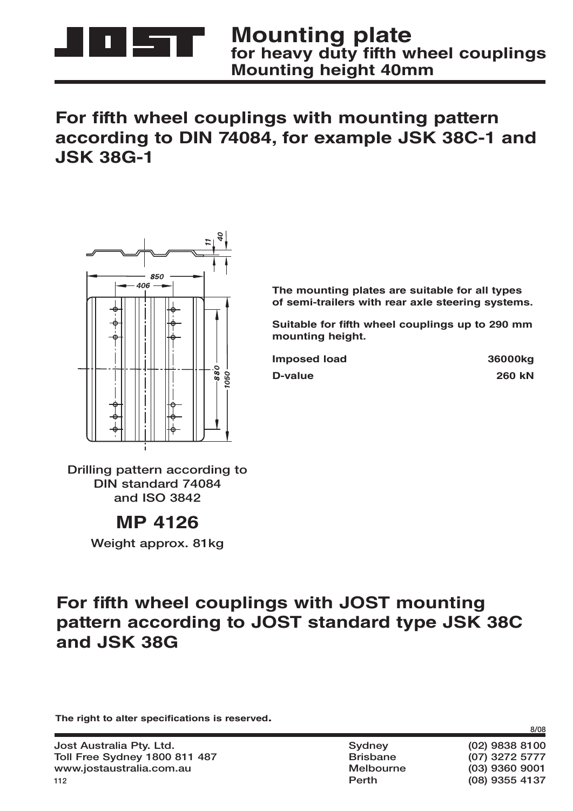

### For fifth wheel couplings with mounting pattern **according to DIN 74084, for example JSK 38C-1 and JSK 38G-1**



**The mounting plates are suitable for all types of semi-trailers with rear axle steering systems.**

**Suitable for fifth wheel couplings up to 290 mm mounting height.**

| 36000kg       |
|---------------|
| <b>260 kN</b> |
|               |

**Drilling pattern according to DIN standard 74084 and ISO 3842**

#### **MP 4126**

**Weight approx. 81kg**

## For fifth wheel couplings with **JOST** mounting **pattern according to JOST standard type JSK 38C and JSK 38G**

The right to alter specifications is reserved.

 **Perth (08) 9355 4137**

**8/08**